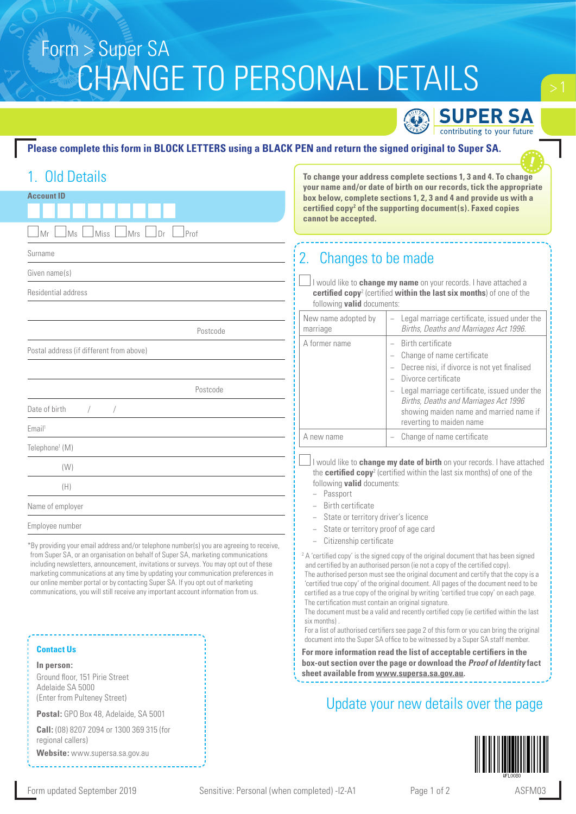# Form > Super SA CHANGE TO PERSONAL DETAILS

**SUPER SA** contributing to your future

**To change your address complete sections 1, 3 and 4. To change** 

**your name and/or date of birth on our records, tick the appropriate** 

#### **Please complete this form in BLOCK LETTERS using a BLACK PEN and return the signed original to Super SA.**

## 1. Old Details

| <b>Account ID</b>                                                                                                                                                                                  | cannot be accepted.                                                                                                                                                                                                                                                                                                                                | your name and/or date or birth on our records, tick the appropriate<br>box below, complete sections 1, 2, 3 and 4 and provide us with a<br>certified copy <sup>2</sup> of the supporting document(s). Faxed copies |
|----------------------------------------------------------------------------------------------------------------------------------------------------------------------------------------------------|----------------------------------------------------------------------------------------------------------------------------------------------------------------------------------------------------------------------------------------------------------------------------------------------------------------------------------------------------|--------------------------------------------------------------------------------------------------------------------------------------------------------------------------------------------------------------------|
| Ms<br>Mr<br>Miss<br>Mrs<br>Prof<br>Dr                                                                                                                                                              |                                                                                                                                                                                                                                                                                                                                                    |                                                                                                                                                                                                                    |
| Surname                                                                                                                                                                                            | 2. Changes to be made                                                                                                                                                                                                                                                                                                                              |                                                                                                                                                                                                                    |
| Given name(s)                                                                                                                                                                                      |                                                                                                                                                                                                                                                                                                                                                    |                                                                                                                                                                                                                    |
| Residential address                                                                                                                                                                                | I would like to change my name on your records. I have attached a<br>certified copy <sup>2</sup> (certified within the last six months) of one of the<br>following <b>valid</b> documents:                                                                                                                                                         |                                                                                                                                                                                                                    |
| Postcode                                                                                                                                                                                           | New name adopted by<br>marriage                                                                                                                                                                                                                                                                                                                    | Legal marriage certificate, issued under the<br>$\overline{\phantom{0}}$<br>Births, Deaths and Marriages Act 1996.                                                                                                 |
| Postal address (if different from above)<br>Postcode                                                                                                                                               | A former name                                                                                                                                                                                                                                                                                                                                      | Birth certificate<br>$\equiv$<br>Change of name certificate<br>Decree nisi, if divorce is not yet finalised<br>Divorce certificate<br>Legal marriage certificate, issued under the                                 |
| Date of birth                                                                                                                                                                                      |                                                                                                                                                                                                                                                                                                                                                    | Births, Deaths and Marriages Act 1996<br>showing maiden name and married name if<br>reverting to maiden name                                                                                                       |
| Email <sup>1</sup>                                                                                                                                                                                 | A new name                                                                                                                                                                                                                                                                                                                                         | Change of name certificate                                                                                                                                                                                         |
| Telephone <sup>1</sup> (M)<br>(W)<br>(H)                                                                                                                                                           | I would like to change my date of birth on your records. I have attached<br>the certified copy <sup>2</sup> (certified within the last six months) of one of the<br>following <b>valid</b> documents:<br>- Passport<br>Birth certificate<br>State or territory driver's licence<br>State or territory proof of age card<br>Citizenship certificate |                                                                                                                                                                                                                    |
| Name of employer                                                                                                                                                                                   |                                                                                                                                                                                                                                                                                                                                                    |                                                                                                                                                                                                                    |
| Employee number<br>*By providing your email address and/or telephone number(s) you are agreeing to receive,<br>form Origin OA, and a consistent in a ballet of Origin OA, marketing communications |                                                                                                                                                                                                                                                                                                                                                    |                                                                                                                                                                                                                    |

from Super SA, or an organisation on behalf of Super SA, marketing communications including newsletters, announcement, invitations or surveys. You may opt out of these marketing communications at any time by updating your communication preferences in our online member portal or by contacting Super SA. If you opt out of marketing communications, you will still receive any important account information from us.

#### **Contact Us**

**In person:** Ground floor, 151 Pirie Street Adelaide SA 5000 (Enter from Pulteney Street)

**Postal:** GPO Box 48, Adelaide, SA 5001

**Call:** (08) 8207 2094 or 1300 369 315 (for regional callers)

**Website:** www.supersa.sa.gov.au

 $2A$  'certified copy' is the signed copy of the original document that has been signed and certified by an authorised person (ie not a copy of the certified copy).

The authorised person must see the original document and certify that the copy is a 'certified true copy' of the original document. All pages of the document need to be certified as a true copy of the original by writing 'certified true copy' on each page. The certification must contain an original signature.

The document must be a valid and recently certified copy (ie certified within the last six months)

For a list of authorised certifiers see page 2 of this form or you can bring the original document into the Super SA office to be witnessed by a Super SA staff member.

**For more information read the list of acceptable certifiers in the box-out section over the page or download the Proof of Identity fact sheet available from www.supersa.sa.gov.au.** 

## Update your new details over the page



Form updated September 2019 Sensitive: Personal (when completed) -I2-A1 Page 1 of 2 ASFM03